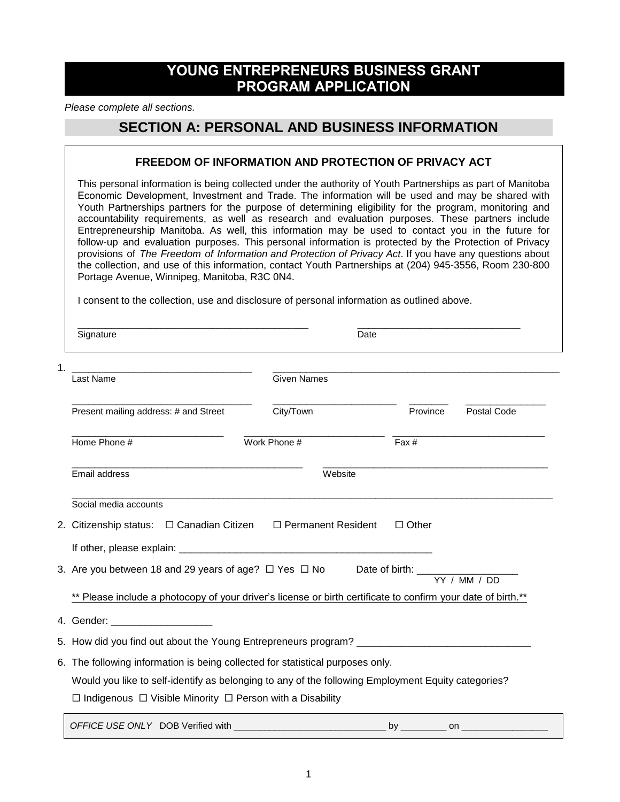# **YOUNG ENTREPRENEURS BUSINESS GRANT PROGRAM APPLICATION**

*Please complete all sections.*

## **SECTION A: PERSONAL AND BUSINESS INFORMATION**

#### **FREEDOM OF INFORMATION AND PROTECTION OF PRIVACY ACT**

This personal information is being collected under the authority of Youth Partnerships as part of Manitoba Economic Development, Investment and Trade. The information will be used and may be shared with Youth Partnerships partners for the purpose of determining eligibility for the program, monitoring and accountability requirements, as well as research and evaluation purposes. These partners include Entrepreneurship Manitoba. As well, this information may be used to contact you in the future for follow-up and evaluation purposes. This personal information is protected by the Protection of Privacy provisions of *The Freedom of Information and Protection of Privacy Act*. If you have any questions about the collection, and use of this information, contact Youth Partnerships at (204) 945-3556, Room 230-800 Portage Avenue, Winnipeg, Manitoba, R3C 0N4.

I consent to the collection, use and disclosure of personal information as outlined above.

\_\_\_\_\_\_\_\_\_\_\_\_\_\_\_\_\_\_\_\_\_\_\_\_\_\_\_\_\_\_\_\_\_\_\_\_\_\_\_\_\_ \_\_\_\_\_\_\_\_\_\_\_\_\_\_\_\_\_\_\_\_\_\_\_\_\_\_\_\_\_ Signature Date 1. \_\_\_\_\_\_\_\_\_\_\_\_\_\_\_\_\_\_\_\_\_\_\_\_\_\_\_\_\_\_\_\_ \_\_\_\_\_\_\_\_\_\_\_\_\_\_\_\_\_\_\_\_\_\_\_\_\_\_\_\_\_\_\_\_\_\_\_\_\_\_\_\_\_\_\_\_\_\_\_\_\_\_\_ **Last Name** Given Names \_\_\_\_\_\_\_\_\_\_\_\_\_\_\_\_\_\_\_\_\_\_\_\_\_\_\_\_\_\_\_\_ \_\_\_\_\_\_\_\_\_\_\_\_\_\_\_\_\_\_\_\_\_\_ \_\_\_\_\_\_\_ \_\_\_\_\_\_\_\_\_\_\_\_\_ Present mailing address: # and Street City/Town Province Postal Code \_\_\_\_\_\_\_\_\_\_\_\_\_\_\_\_\_\_\_\_\_\_\_\_\_\_\_ \_\_\_\_\_\_\_\_\_\_\_\_\_\_\_\_\_\_\_\_\_\_\_\_\_ \_\_\_\_\_\_\_\_\_\_\_\_\_\_\_\_\_\_\_\_\_\_\_\_\_\_\_ Home Phone # Work Phone # Work Phone # Fax # \_\_\_\_\_\_\_\_\_\_\_\_\_\_\_\_\_\_\_\_\_\_\_\_\_\_\_\_\_\_\_\_\_\_\_\_\_\_\_\_\_ \_\_\_\_\_\_\_\_\_\_\_\_\_\_\_\_\_\_\_\_\_\_\_\_\_\_\_\_\_\_\_\_\_\_\_\_\_\_\_\_ Email address Website  $\overline{a_1}$  ,  $\overline{a_2}$  ,  $\overline{a_3}$  ,  $\overline{a_4}$  ,  $\overline{a_5}$  ,  $\overline{a_6}$  ,  $\overline{a_7}$  ,  $\overline{a_8}$  ,  $\overline{a_9}$  ,  $\overline{a_9}$  ,  $\overline{a_9}$  ,  $\overline{a_9}$  ,  $\overline{a_9}$  ,  $\overline{a_9}$  ,  $\overline{a_9}$  ,  $\overline{a_9}$  ,  $\overline{a_9}$  , Social media accounts 2. Citizenship status:  $\Box$  Canadian Citizen  $\Box$  Permanent Resident  $\Box$  Other If other, please explain: 3. Are you between 18 and 29 years of age?  $\Box$  Yes  $\Box$  No Date of birth: YY / MM / DD \*\* Please include a photocopy of your driver's license or birth certificate to confirm your date of birth.\*\* 4. Gender: \_\_\_\_\_\_\_\_\_\_\_\_\_\_\_\_\_\_ 5. How did you find out about the Young Entrepreneurs program? 6. The following information is being collected for statistical purposes only. Would you like to self-identify as belonging to any of the following Employment Equity categories?  $\Box$  Indigenous  $\Box$  Visible Minority  $\Box$  Person with a Disability *OFFICE USE ONLY* DOB Verified with \_\_\_\_\_\_\_\_\_\_\_\_\_\_\_\_\_\_\_\_\_\_\_\_\_\_\_\_\_\_ by \_\_\_\_\_\_\_\_\_ on \_\_\_\_\_\_\_\_\_\_\_\_\_\_\_\_\_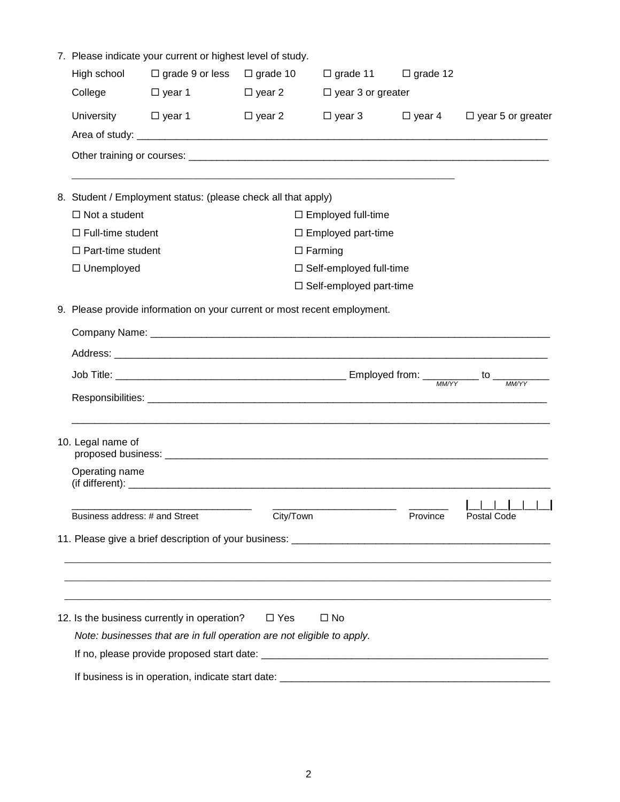|  | 7. Please indicate your current or highest level of study.               |                                                                        |                 |                                |                 |                                        |  |  |
|--|--------------------------------------------------------------------------|------------------------------------------------------------------------|-----------------|--------------------------------|-----------------|----------------------------------------|--|--|
|  | High school                                                              | $\Box$ grade 9 or less                                                 | $\Box$ grade 10 | $\Box$ grade 11                | $\Box$ grade 12 |                                        |  |  |
|  | College                                                                  | □ year 1                                                               | $\Box$ year 2   | $\Box$ year 3 or greater       |                 |                                        |  |  |
|  | University $\Box$ year 1                                                 |                                                                        | $\Box$ year 2   | $\Box$ year 3                  |                 | $\Box$ year 4 $\Box$ year 5 or greater |  |  |
|  |                                                                          |                                                                        |                 |                                |                 |                                        |  |  |
|  |                                                                          |                                                                        |                 |                                |                 |                                        |  |  |
|  | 8. Student / Employment status: (please check all that apply)            |                                                                        |                 |                                |                 |                                        |  |  |
|  | $\Box$ Not a student                                                     |                                                                        |                 | $\Box$ Employed full-time      |                 |                                        |  |  |
|  | $\Box$ Full-time student                                                 |                                                                        |                 | $\Box$ Employed part-time      |                 |                                        |  |  |
|  | $\Box$ Part-time student                                                 |                                                                        |                 | $\Box$ Farming                 |                 |                                        |  |  |
|  | $\Box$ Unemployed                                                        |                                                                        |                 | □ Self-employed full-time      |                 |                                        |  |  |
|  |                                                                          |                                                                        |                 | $\Box$ Self-employed part-time |                 |                                        |  |  |
|  | 9. Please provide information on your current or most recent employment. |                                                                        |                 |                                |                 |                                        |  |  |
|  |                                                                          |                                                                        |                 |                                |                 |                                        |  |  |
|  |                                                                          |                                                                        |                 |                                |                 |                                        |  |  |
|  |                                                                          |                                                                        |                 |                                |                 |                                        |  |  |
|  |                                                                          |                                                                        |                 |                                |                 |                                        |  |  |
|  | 10. Legal name of                                                        |                                                                        |                 |                                |                 |                                        |  |  |
|  | Operating name                                                           |                                                                        |                 |                                |                 |                                        |  |  |
|  | Business address: # and Street                                           |                                                                        | City/Town       |                                | Province        | 1 1 1 1 1 1<br>Postal Code             |  |  |
|  |                                                                          |                                                                        |                 |                                |                 |                                        |  |  |
|  |                                                                          |                                                                        |                 |                                |                 |                                        |  |  |
|  |                                                                          |                                                                        |                 |                                |                 |                                        |  |  |
|  |                                                                          | 12. Is the business currently in operation?                            | $\Box$ Yes      | $\square$ No                   |                 |                                        |  |  |
|  |                                                                          | Note: businesses that are in full operation are not eligible to apply. |                 |                                |                 |                                        |  |  |
|  |                                                                          |                                                                        |                 |                                |                 |                                        |  |  |
|  |                                                                          |                                                                        |                 |                                |                 |                                        |  |  |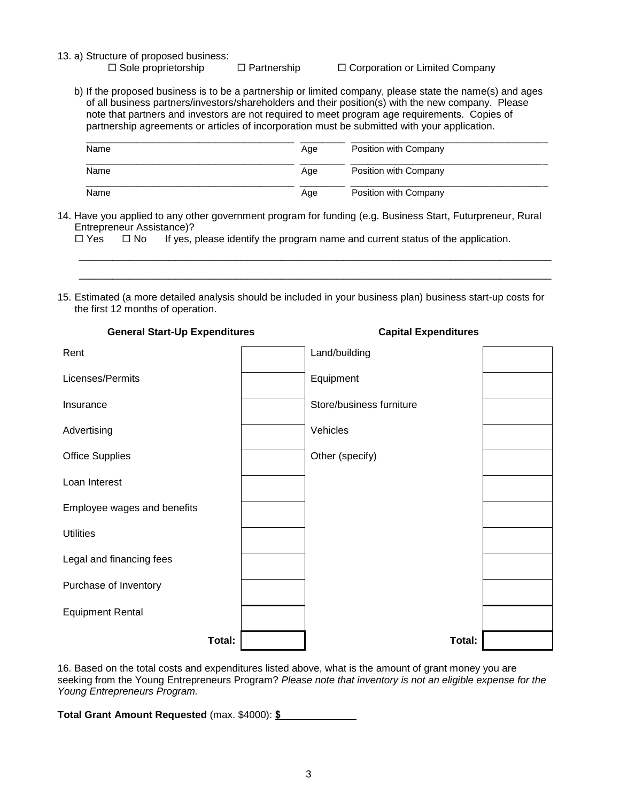13. a) Structure of proposed business:<br>  $\square$  Sole proprietorship

 $\Box$  Partnership  $\Box$  Corporation or Limited Company

b) If the proposed business is to be a partnership or limited company, please state the name(s) and ages of all business partners/investors/shareholders and their position(s) with the new company. Please note that partners and investors are not required to meet program age requirements. Copies of partnership agreements or articles of incorporation must be submitted with your application.

| Name | Age | Position with Company |
|------|-----|-----------------------|
| Name | Age | Position with Company |
| Name | Age | Position with Company |

\_\_\_\_\_\_\_\_\_\_\_\_\_\_\_\_\_\_\_\_\_\_\_\_\_\_\_\_\_\_\_\_\_\_\_\_\_\_\_\_\_\_\_\_\_\_\_\_\_\_\_\_\_\_\_\_\_\_\_\_\_\_\_\_\_\_\_\_\_\_\_\_\_\_\_\_\_\_\_\_\_\_\_\_ \_\_\_\_\_\_\_\_\_\_\_\_\_\_\_\_\_\_\_\_\_\_\_\_\_\_\_\_\_\_\_\_\_\_\_\_\_\_\_\_\_\_\_\_\_\_\_\_\_\_\_\_\_\_\_\_\_\_\_\_\_\_\_\_\_\_\_\_\_\_\_\_\_\_\_\_\_\_\_\_\_\_\_\_

14. Have you applied to any other government program for funding (e.g. Business Start, Futurpreneur, Rural Entrepreneur Assistance)?

 $\Box$  Yes  $\Box$  No If yes, please identify the program name and current status of the application.

15. Estimated (a more detailed analysis should be included in your business plan) business start-up costs for the first 12 months of operation.

| Rent                        | Land/building            |  |  |
|-----------------------------|--------------------------|--|--|
| Licenses/Permits            | Equipment                |  |  |
| Insurance                   | Store/business furniture |  |  |
| Advertising                 | Vehicles                 |  |  |
| <b>Office Supplies</b>      | Other (specify)          |  |  |
| Loan Interest               |                          |  |  |
| Employee wages and benefits |                          |  |  |
| <b>Utilities</b>            |                          |  |  |
| Legal and financing fees    |                          |  |  |
| Purchase of Inventory       |                          |  |  |
| <b>Equipment Rental</b>     |                          |  |  |
| Total:                      | Total:                   |  |  |

16. Based on the total costs and expenditures listed above, what is the amount of grant money you are seeking from the Young Entrepreneurs Program? *Please note that inventory is not an eligible expense for the Young Entrepreneurs Program.*

**Total Grant Amount Requested** (max. \$4000): **\$**

### **General Start-Up Expenditures Capital Expenditures**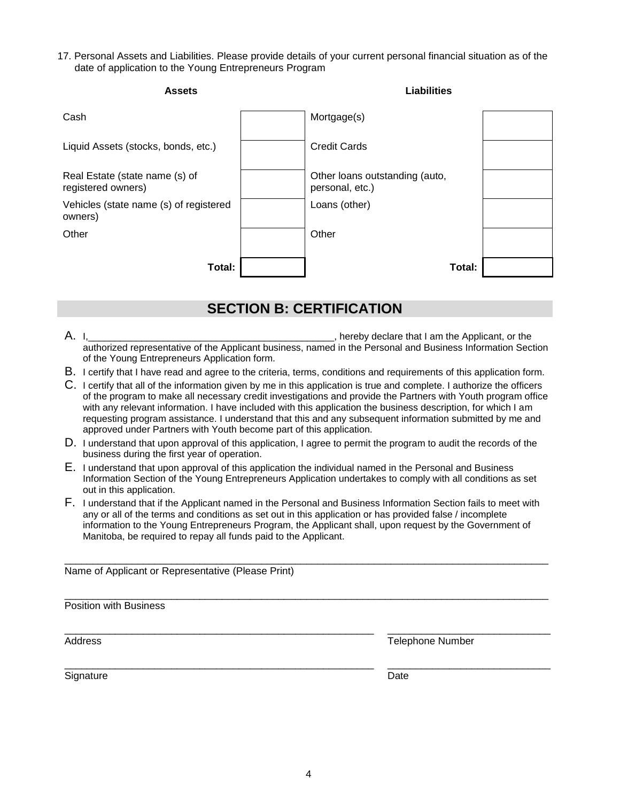17. Personal Assets and Liabilities. Please provide details of your current personal financial situation as of the date of application to the Young Entrepreneurs Program

| <b>Assets</b>                                        | <b>Liabilities</b>                                |  |
|------------------------------------------------------|---------------------------------------------------|--|
| Cash                                                 | Mortgage(s)                                       |  |
| Liquid Assets (stocks, bonds, etc.)                  | <b>Credit Cards</b>                               |  |
| Real Estate (state name (s) of<br>registered owners) | Other loans outstanding (auto,<br>personal, etc.) |  |
| Vehicles (state name (s) of registered<br>owners)    | Loans (other)                                     |  |
| Other                                                | Other                                             |  |
| Total:                                               | Total:                                            |  |

# **SECTION B: CERTIFICATION**

- A. I, the contract of the contract of the contract of the Applicant, or the Applicant, or the Applicant, or the authorized representative of the Applicant business, named in the Personal and Business Information Section of the Young Entrepreneurs Application form.
- B. I certify that I have read and agree to the criteria, terms, conditions and requirements of this application form.
- C. I certify that all of the information given by me in this application is true and complete. I authorize the officers of the program to make all necessary credit investigations and provide the Partners with Youth program office with any relevant information. I have included with this application the business description, for which I am requesting program assistance. I understand that this and any subsequent information submitted by me and approved under Partners with Youth become part of this application.
- D. I understand that upon approval of this application, I agree to permit the program to audit the records of the business during the first year of operation.
- E. I understand that upon approval of this application the individual named in the Personal and Business Information Section of the Young Entrepreneurs Application undertakes to comply with all conditions as set out in this application.
- F. I understand that if the Applicant named in the Personal and Business Information Section fails to meet with any or all of the terms and conditions as set out in this application or has provided false / incomplete information to the Young Entrepreneurs Program, the Applicant shall, upon request by the Government of Manitoba, be required to repay all funds paid to the Applicant.

\_\_\_\_\_\_\_\_\_\_\_\_\_\_\_\_\_\_\_\_\_\_\_\_\_\_\_\_\_\_\_\_\_\_\_\_\_\_\_\_\_\_\_\_\_\_\_\_\_\_\_\_\_\_\_\_\_\_\_\_\_\_\_\_\_\_\_\_\_\_\_\_\_\_\_\_\_\_\_\_\_\_\_\_\_\_

\_\_\_\_\_\_\_\_\_\_\_\_\_\_\_\_\_\_\_\_\_\_\_\_\_\_\_\_\_\_\_\_\_\_\_\_\_\_\_\_\_\_\_\_\_\_\_\_\_\_\_\_\_\_\_\_\_\_\_\_\_\_\_\_\_\_\_\_\_\_\_\_\_\_\_\_\_\_\_\_\_\_\_\_\_\_

\_\_\_\_\_\_\_\_\_\_\_\_\_\_\_\_\_\_\_\_\_\_\_\_\_\_\_\_\_\_\_\_\_\_\_\_\_\_\_\_\_\_\_\_\_\_\_\_\_\_\_\_\_\_\_ \_\_\_\_\_\_\_\_\_\_\_\_\_\_\_\_\_\_\_\_\_\_\_\_\_\_\_\_\_

\_\_\_\_\_\_\_\_\_\_\_\_\_\_\_\_\_\_\_\_\_\_\_\_\_\_\_\_\_\_\_\_\_\_\_\_\_\_\_\_\_\_\_\_\_\_\_\_\_\_\_\_\_\_\_ \_\_\_\_\_\_\_\_\_\_\_\_\_\_\_\_\_\_\_\_\_\_\_\_\_\_\_\_\_

Name of Applicant or Representative (Please Print)

Position with Business

Address **Telephone Number Address Telephone Number** 

Signature Date Date Communications and the Date Date Date Date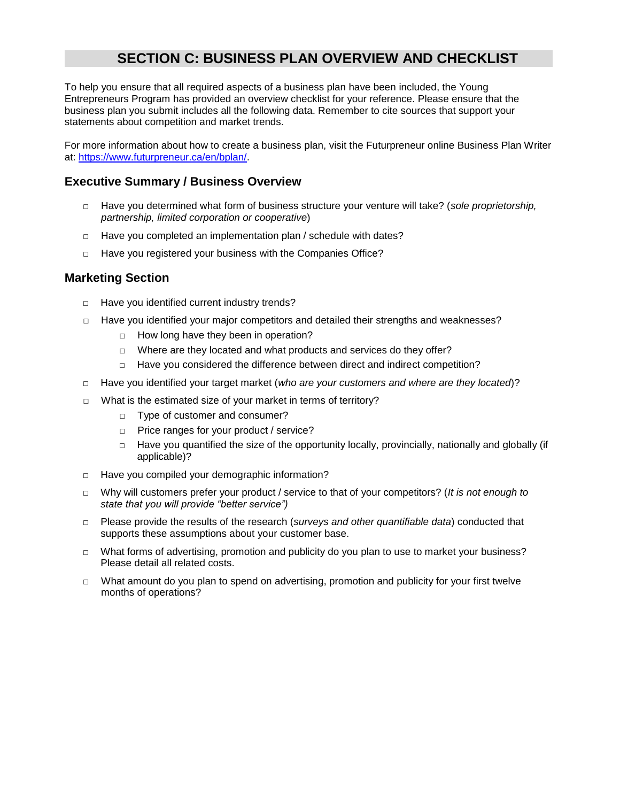# **SECTION C: BUSINESS PLAN OVERVIEW AND CHECKLIST**

To help you ensure that all required aspects of a business plan have been included, the Young Entrepreneurs Program has provided an overview checklist for your reference. Please ensure that the business plan you submit includes all the following data. Remember to cite sources that support your statements about competition and market trends.

For more information about how to create a business plan, visit the Futurpreneur online Business Plan Writer at: [https://www.futurpreneur.ca/en/bplan/.](https://www.futurpreneur.ca/en/bplan/)

### **Executive Summary / Business Overview**

- □ Have you determined what form of business structure your venture will take? (*sole proprietorship, partnership, limited corporation or cooperative*)
- □ Have you completed an implementation plan / schedule with dates?
- □ Have you registered your business with the Companies Office?

### **Marketing Section**

- □ Have you identified current industry trends?
- □ Have you identified your major competitors and detailed their strengths and weaknesses?
	- □ How long have they been in operation?
	- □ Where are they located and what products and services do they offer?
	- □ Have you considered the difference between direct and indirect competition?
- □ Have you identified your target market (*who are your customers and where are they located*)?
- □ What is the estimated size of your market in terms of territory?
	- □ Type of customer and consumer?
	- □ Price ranges for your product / service?
	- □ Have you quantified the size of the opportunity locally, provincially, nationally and globally (if applicable)?
- □ Have you compiled your demographic information?
- □ Why will customers prefer your product / service to that of your competitors? (*It is not enough to state that you will provide "better service")*
- □ Please provide the results of the research (*surveys and other quantifiable data*) conducted that supports these assumptions about your customer base.
- □ What forms of advertising, promotion and publicity do you plan to use to market your business? Please detail all related costs.
- □ What amount do you plan to spend on advertising, promotion and publicity for your first twelve months of operations?